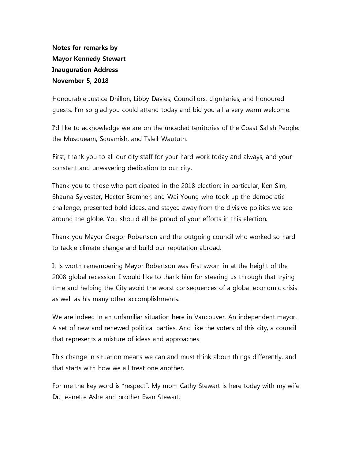Notes for remarks by **Mayor Kennedy Stewart Inauguration Address November 5, 2018** 

Honourable Justice Dhillon, Libby Davies, Councillors, dignitaries, and honoured guests. I'm so glad you could attend today and bid you all a very warm welcome.

I'd like to acknowledge we are on the unceded territories of the Coast Salish People: the Musqueam, Squamish, and Tsleil-Waututh.

First, thank you to all our city staff for your hard work today and always, and your constant and unwavering dedication to our city.

Thank you to those who participated in the 2018 election: in particular, Ken Sim, Shauna Sylvester, Hector Bremner, and Wai Young who took up the democratic challenge, presented bold ideas, and stayed away from the divisive politics we see around the globe. You should all be proud of your efforts in this election.

Thank you Mayor Gregor Robertson and the outgoing council who worked so hard to tackle climate change and build our reputation abroad.

It is worth remembering Mayor Robertson was first sworn in at the height of the 2008 global recession. I would like to thank him for steering us through that trying time and helping the City avoid the worst consequences of a global economic crisis as well as his many other accomplishments.

We are indeed in an unfamiliar situation here in Vancouver. An independent mayor. A set of new and renewed political parties. And like the voters of this city, a council that represents a mixture of ideas and approaches.

This change in situation means we can and must think about things differently, and that starts with how we all treat one another.

For me the key word is "respect". My mom Cathy Stewart is here today with my wife Dr. Jeanette Ashe and brother Evan Stewart.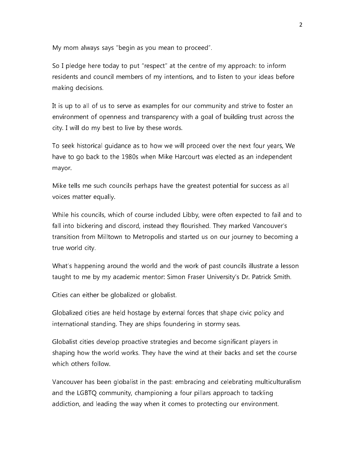My mom always says "begin as you mean to proceed".

So I pledge here today to put "respect" at the centre of my approach: to inform residents and council members of my intentions, and to listen to your ideas before making decisions.

It is up to all of us to serve as examples for our community and strive to foster an environment of openness and transparency with a goal of building trust across the city. I will do my best to live by these words.

To seek historical quidance as to how we will proceed over the next four years, We have to go back to the 1980s when Mike Harcourt was elected as an independent mayor.

Mike tells me such councils perhaps have the greatest potential for success as all voices matter equally.

While his councils, which of course included Libby, were often expected to fail and to fall into bickering and discord, instead they flourished. They marked Vancouver's transition from Milltown to Metropolis and started us on our journey to becoming a true world city.

What's happening around the world and the work of past councils illustrate a lesson taught to me by my academic mentor: Simon Fraser University's Dr. Patrick Smith.

Cities can either be globalized or globalist.

Globalized cities are held hostage by external forces that shape civic policy and international standing. They are ships foundering in stormy seas.

Globalist cities develop proactive strategies and become significant players in shaping how the world works. They have the wind at their backs and set the course which others follow.

Vancouver has been globalist in the past: embracing and celebrating multiculturalism and the LGBTQ community, championing a four pillars approach to tackling addiction, and leading the way when it comes to protecting our environment.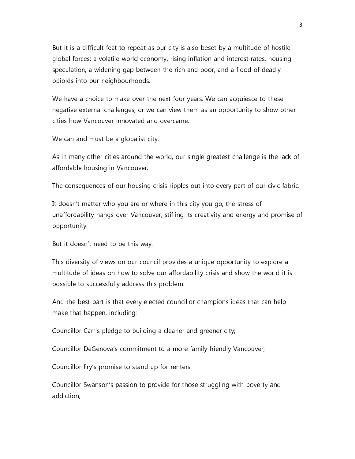But it is a difficult feat to repeat as our city is also beset by a multitude of hostile global forces: a volatile world economy, rising inflation and interest rates, housing speculation, a widening gap between the rich and poor, and a flood of deadly opioids into our neighbourhoods.

We have a choice to make over the next four years. We can acquiesce to these negative external challenges, or we can view them as an opportunity to show other cities how Vancouver innovated and overcame.

We can and must be a globalist city.

As in many other cities around the world, our single greatest challenge is the lack of affordable housing in Vancouver.

The consequences of our housing crisis ripples out into every part of our civic fabric.

It doesn't matter who you are or where in this city you go, the stress of unaffordability hangs over Vancouver, stifling its creativity and energy and promise of opportunity.

But it doesn't need to be this way.

This diversity of views on our council provides a unique opportunity to explore a multitude of ideas on how to solve our affordability crisis and show the world it is possible to successfully address this problem.

And the best part is that every elected councillor champions ideas that can help make that happen, including:

Councillor Carr's pledge to building a cleaner and greener city;

Councillor DeGenova's commitment to a more family friendly Vancouver;

Councillor Fry's promise to stand up for renters;

Councillor Swanson's passion to provide for those struggling with poverty and addiction;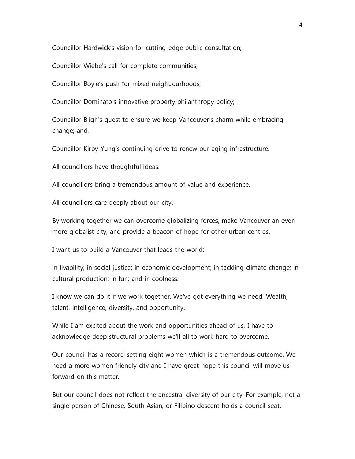Councillor Hardwick's vision for cutting-edge public consultation;

Councillor Wiebe's call for complete communities;

Councillor Boyle's push for mixed neighbourhoods;

Councillor Dominato's innovative property philanthropy policy;

Councillor Bligh's quest to ensure we keep Vancouver's charm while embracing change; and,

Councillor Kirby-Yung's continuing drive to renew our aging infrastructure.

All councillors have thoughtful ideas.

All councillors bring a tremendous amount of value and experience.

All councillors care deeply about our city.

By working together we can overcome globalizing forces, make Vancouver an even more globalist city, and provide a beacon of hope for other urban centres.

I want us to build a Vancouver that leads the world:

in livability; in social justice; in economic development; in tackling climate change; in cultural production; in fun; and in coolness.

I know we can do it if we work together. We've got everything we need. Wealth, talent, intelligence, diversity, and opportunity.

While I am excited about the work and opportunities ahead of us, I have to acknowledge deep structural problems we'll all to work hard to overcome.

Our council has a record-setting eight women which is a tremendous outcome. We need a more women friendly city and I have great hope this council will move us forward on this matter.

But our council does not reflect the ancestral diversity of our city. For example, not a single person of Chinese, South Asian, or Filipino descent holds a council seat.